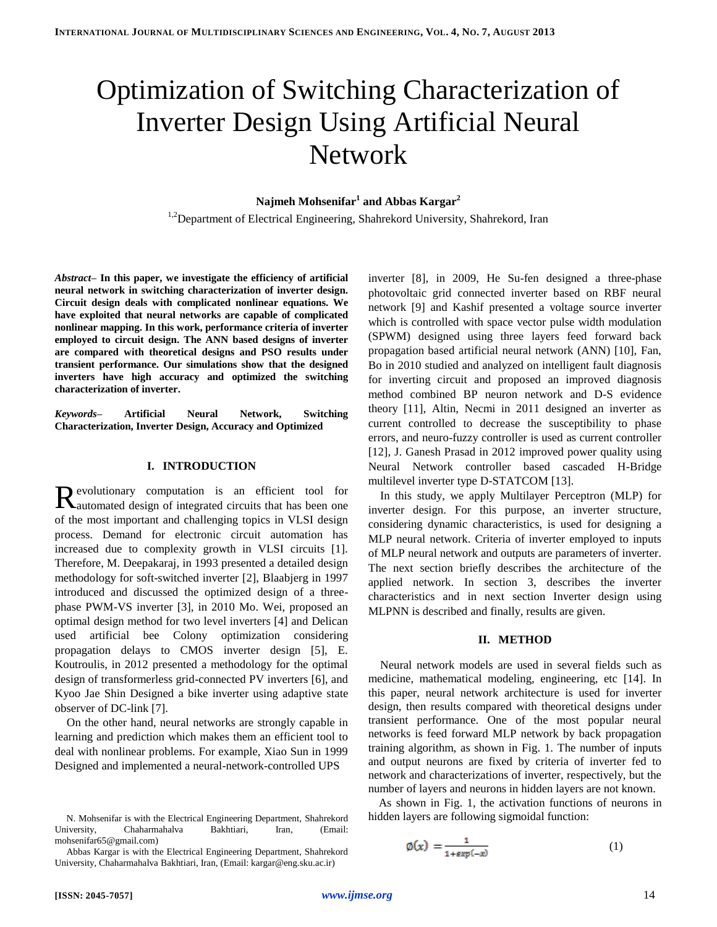# Optimization of Switching Characterization of Inverter Design Using Artificial Neural **Network**

# **Najmeh Mohsenifar<sup>1</sup> and Abbas Kargar<sup>2</sup>**

<sup>1,2</sup>Department of Electrical Engineering, Shahrekord University, Shahrekord, Iran

*Abstract–* **In this paper, we investigate the efficiency of artificial neural network in switching characterization of inverter design. Circuit design deals with complicated nonlinear equations. We have exploited that neural networks are capable of complicated nonlinear mapping. In this work, performance criteria of inverter employed to circuit design. The ANN based designs of inverter are compared with theoretical designs and PSO results under transient performance. Our simulations show that the designed inverters have high accuracy and optimized the switching characterization of inverter.**

*Keywords***– Artificial Neural Network, Switching Characterization, Inverter Design, Accuracy and Optimized**

#### **I. INTRODUCTION**

evolutionary computation is an efficient tool for Revolutionary computation is an efficient tool for automated design of integrated circuits that has been one of the most important and challenging topics in VLSI design process. Demand for electronic circuit automation has increased due to complexity growth in VLSI circuits [1]. Therefore, M. Deepakaraj, in 1993 presented a detailed design methodology for soft-switched inverter [2], Blaabjerg in 1997 introduced and discussed the optimized design of a threephase PWM-VS inverter [3], in 2010 Mo. Wei, proposed an optimal design method for two level inverters [4] and Delican used artificial bee Colony optimization considering propagation delays to CMOS inverter design [5], E. Koutroulis, in 2012 presented a methodology for the optimal design of transformerless grid-connected PV inverters [6], and Kyoo Jae Shin Designed a bike inverter using adaptive state observer of DC-link [7].

On the other hand, neural networks are strongly capable in learning and prediction which makes them an efficient tool to deal with nonlinear problems. For example, Xiao Sun in 1999 Designed and implemented a neural-network-controlled UPS

inverter [8], in 2009, He Su-fen designed a three-phase photovoltaic grid connected inverter based on RBF neural network [9] and Kashif presented a voltage source inverter which is controlled with space vector pulse width modulation (SPWM) designed using three layers feed forward back propagation based artificial neural network (ANN) [10], Fan, Bo in 2010 studied and analyzed on intelligent fault diagnosis for inverting circuit and proposed an improved diagnosis method combined BP neuron network and D-S evidence theory [11], Altin, Necmi in 2011 designed an inverter as current controlled to decrease the susceptibility to phase errors, and neuro-fuzzy controller is used as current controller [12], J. Ganesh Prasad in 2012 improved power quality using Neural Network controller based cascaded H-Bridge multilevel inverter type D-STATCOM [13].

In this study, we apply Multilayer Perceptron (MLP) for inverter design. For this purpose, an inverter structure, considering dynamic characteristics, is used for designing a MLP neural network. Criteria of inverter employed to inputs of MLP neural network and outputs are parameters of inverter. The next section briefly describes the architecture of the applied network. In section 3, describes the inverter characteristics and in next section Inverter design using MLPNN is described and finally, results are given.

#### **II. METHOD**

Neural network models are used in several fields such as medicine, mathematical modeling, engineering, etc [14]. In this paper, neural network architecture is used for inverter design, then results compared with theoretical designs under transient performance. One of the most popular neural networks is feed forward MLP network by back propagation training algorithm, as shown in Fig. 1. The number of inputs and output neurons are fixed by criteria of inverter fed to network and characterizations of inverter, respectively, but the number of layers and neurons in hidden layers are not known.

As shown in Fig. 1, the activation functions of neurons in hidden layers are following sigmoidal function:

$$
\emptyset(x) = \frac{1}{1 + \exp(-x)}\tag{1}
$$

N. Mohsenifar is with the Electrical Engineering Department, Shahrekord University, Chaharmahalva Bakhtiari, Iran, (Email: mohsenifar65@gmail.com)

Abbas Kargar is with the Electrical Engineering Department, Shahrekord University, Chaharmahalva Bakhtiari, Iran, (Email: kargar@eng.sku.ac.ir)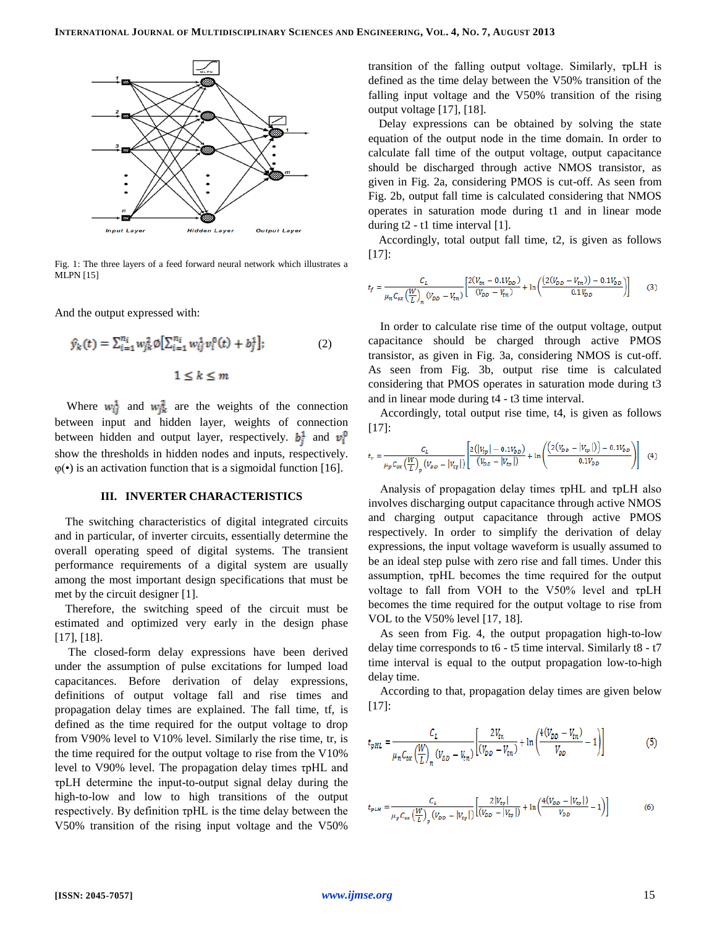

Fig. 1: The three layers of a feed forward neural network which illustrates a MLPN [15]

And the output expressed with:

$$
\hat{y}_k(t) = \sum_{i=1}^{n_i} w_{jk}^2 \emptyset \left[ \sum_{i=1}^{n_i} w_{ij}^1 v_i^0(t) + b_j^1 \right];
$$
\n
$$
1 \le k \le m
$$
\n(2)

Where  $w_{ij}^1$  and  $w_{ik}^2$  are the weights of the connection between input and hidden layer, weights of connection between hidden and output layer, respectively.  $b_i^1$  and  $v_i^0$ show the thresholds in hidden nodes and inputs, respectively.  $\varphi(\bullet)$  is an activation function that is a sigmoidal function [16].

#### **III. INVERTER CHARACTERISTICS**

The switching characteristics of digital integrated circuits and in particular, of inverter circuits, essentially determine the overall operating speed of digital systems. The transient performance requirements of a digital system are usually among the most important design specifications that must be met by the circuit designer [1].

Therefore, the switching speed of the circuit must be estimated and optimized very early in the design phase [17], [18].

The closed-form delay expressions have been derived under the assumption of pulse excitations for lumped load capacitances. Before derivation of delay expressions, definitions of output voltage fall and rise times and propagation delay times are explained. The fall time, tf, is defined as the time required for the output voltage to drop from V90% level to V10% level. Similarly the rise time, tr, is the time required for the output voltage to rise from the V10% level to V90% level. The propagation delay times τpHL and τpLH determine the input-to-output signal delay during the high-to-low and low to high transitions of the output respectively. By definition τpHL is the time delay between the V50% transition of the rising input voltage and the V50%

transition of the falling output voltage. Similarly, τpLH is defined as the time delay between the V50% transition of the falling input voltage and the V50% transition of the rising output voltage [17], [18].

Delay expressions can be obtained by solving the state equation of the output node in the time domain. In order to calculate fall time of the output voltage, output capacitance should be discharged through active NMOS transistor, as given in Fig. 2a, considering PMOS is cut-off. As seen from Fig. 2b, output fall time is calculated considering that NMOS operates in saturation mode during t1 and in linear mode during  $t2 - t1$  time interval [1].

Accordingly, total output fall time, t2, is given as follows [17]:

$$
t_f = \frac{C_L}{\mu_n C_{ox} \left(\frac{W}{L}\right)_n (V_{DD} - V_{tn})} \left[ \frac{2(V_{tn} - 0.1V_{DD})}{(V_{DD} - V_{tn})} + \ln \left( \frac{(2(V_{DD} - V_{tn})) - 0.1V_{DD}}{0.1V_{DD}} \right) \right]
$$
(3)

In order to calculate rise time of the output voltage, output capacitance should be charged through active PMOS transistor, as given in Fig. 3a, considering NMOS is cut-off. As seen from Fig. 3b, output rise time is calculated considering that PMOS operates in saturation mode during t3 and in linear mode during t4 - t3 time interval.

Accordingly, total output rise time, t4, is given as follows [17]:

$$
t_r = \frac{C_L}{\mu_p C_{ox} \left(\frac{W}{L}\right)_p \left(V_{DD} - |V_{tp}|\right)} \left[\frac{2\left(|V_{tp}| - 0.1V_{DD}\right)}{\left(V_{DD} - |V_{tp}|\right)} + \ln\left(\frac{\left(2\left(V_{DD} - |V_{tp}|\right)\right) - 0.1V_{DD}}{0.1V_{DD}}\right)\right] \tag{4}
$$

Analysis of propagation delay times τpHL and τpLH also involves discharging output capacitance through active NMOS and charging output capacitance through active PMOS respectively. In order to simplify the derivation of delay expressions, the input voltage waveform is usually assumed to be an ideal step pulse with zero rise and fall times. Under this assumption, τpHL becomes the time required for the output voltage to fall from VOH to the V50% level and τpLH becomes the time required for the output voltage to rise from VOL to the V50% level [17, 18].

As seen from Fig. 4, the output propagation high-to-low delay time corresponds to t6 - t5 time interval. Similarly t8 - t7 time interval is equal to the output propagation low-to-high delay time.

According to that, propagation delay times are given below [17]:

$$
t_{pHL} = \frac{C_L}{\mu_n C_{ox} \left(\frac{W}{L}\right)_n \left(V_{DD} - V_{tn}\right)} \left[\frac{2V_{tn}}{\left(V_{DD} - V_{tn}\right)} + \ln\left(\frac{4\left(V_{DD} - V_{tn}\right)}{V_{DD}} - 1\right)\right]
$$
(5)

$$
t_{pLM} = \frac{C_L}{\mu_p C_{ox} \left(\frac{W}{L}\right)_p \left(V_{DD} - |V_{tp}|\right)} \left[\frac{2|V_{tp}|}{\left(V_{DD} - |V_{tp}|\right)} + \ln\left(\frac{4\left(V_{DD} - |V_{tp}|\right)}{V_{DD}} - 1\right)\right]
$$
(6)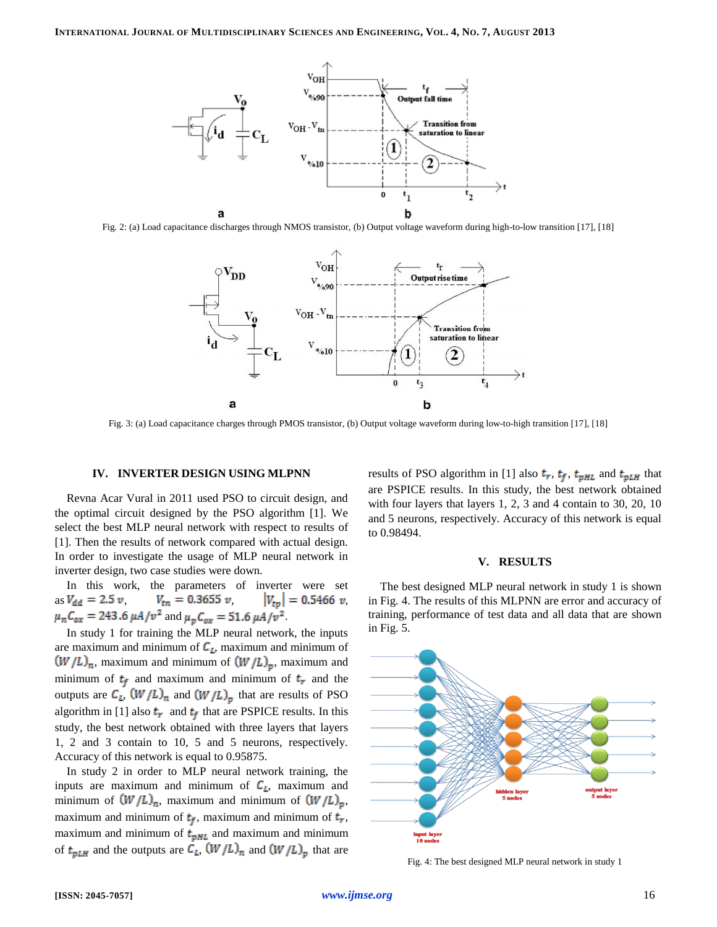

Fig. 2: (a) Load capacitance discharges through NMOS transistor, (b) Output voltage waveform during high-to-low transition [17], [18]



Fig. 3: (a) Load capacitance charges through PMOS transistor, (b) Output voltage waveform during low-to-high transition [17], [18]

### **IV. INVERTER DESIGN USING MLPNN**

Revna Acar Vural in 2011 used PSO to circuit design, and the optimal circuit designed by the PSO algorithm [1]. We select the best MLP neural network with respect to results of [1]. Then the results of network compared with actual design. In order to investigate the usage of MLP neural network in inverter design, two case studies were down.

In this work, the parameters of inverter were set as  $V_{dd} = 2.5 \nu$ ,  $V_{tn} = 0.3655 \nu$ ,  $|V_{tp}| = 0.5466 \nu$ ,  $\mu_n C_{ox} = 243.6 \,\mu A/v^2$  and  $\mu_p C_{ox} = 51.6 \,\mu A/v^2$ .

In study 1 for training the MLP neural network, the inputs are maximum and minimum of  $C_L$ , maximum and minimum of  $(W/L)_n$ , maximum and minimum of  $(W/L)_p$ , maximum and minimum of  $t_f$  and maximum and minimum of  $t_r$  and the outputs are  $C_L$ ,  $(W/L)_n$  and  $(W/L)_p$  that are results of PSO algorithm in [1] also  $t_r$  and  $t_f$  that are PSPICE results. In this study, the best network obtained with three layers that layers 1, 2 and 3 contain to 10, 5 and 5 neurons, respectively. Accuracy of this network is equal to 0.95875.

In study 2 in order to MLP neural network training, the inputs are maximum and minimum of  $C_{\ell}$ , maximum and minimum of  $(W/L)_n$ , maximum and minimum of  $(W/L)_p$ , maximum and minimum of  $t_f$ , maximum and minimum of  $t_r$ , maximum and minimum of  $t_{pHL}$  and maximum and minimum of  $t_{pLH}$  and the outputs are  $C_L$ ,  $(W/L)_n$  and  $(W/L)_p$  that are results of PSO algorithm in [1] also  $t_r$ ,  $t_f$ ,  $t_{pHL}$  and  $t_{pLH}$  that are PSPICE results. In this study, the best network obtained with four layers that layers 1, 2, 3 and 4 contain to 30, 20, 10 and 5 neurons, respectively. Accuracy of this network is equal to 0.98494.

#### **V. RESULTS**

The best designed MLP neural network in study 1 is shown in Fig. 4. The results of this MLPNN are error and accuracy of training, performance of test data and all data that are shown in Fig. 5.



Fig. 4: The best designed MLP neural network in study 1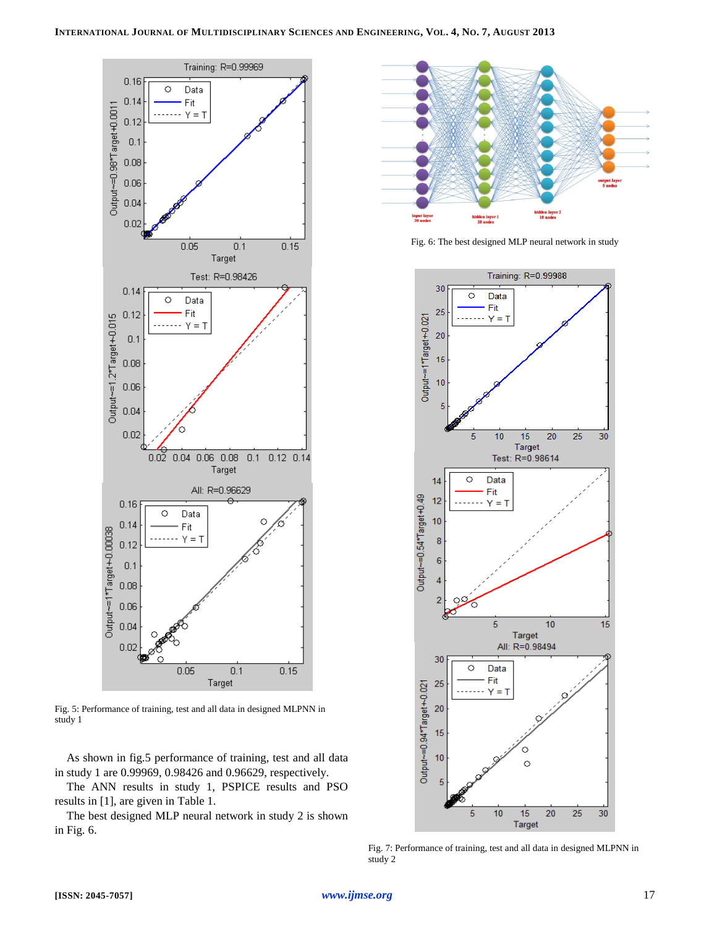

Fig. 5: Performance of training, test and all data in designed MLPNN in study 1

As shown in fig.5 performance of training, test and all data in study 1 are 0.99969, 0.98426 and 0.96629, respectively.

The ANN results in study 1, PSPICE results and PSO results in [1], are given in Table 1.

The best designed MLP neural network in study 2 is shown in Fig. 6.



Fig. 6: The best designed MLP neural network in study



Fig. 7: Performance of training, test and all data in designed MLPNN in study 2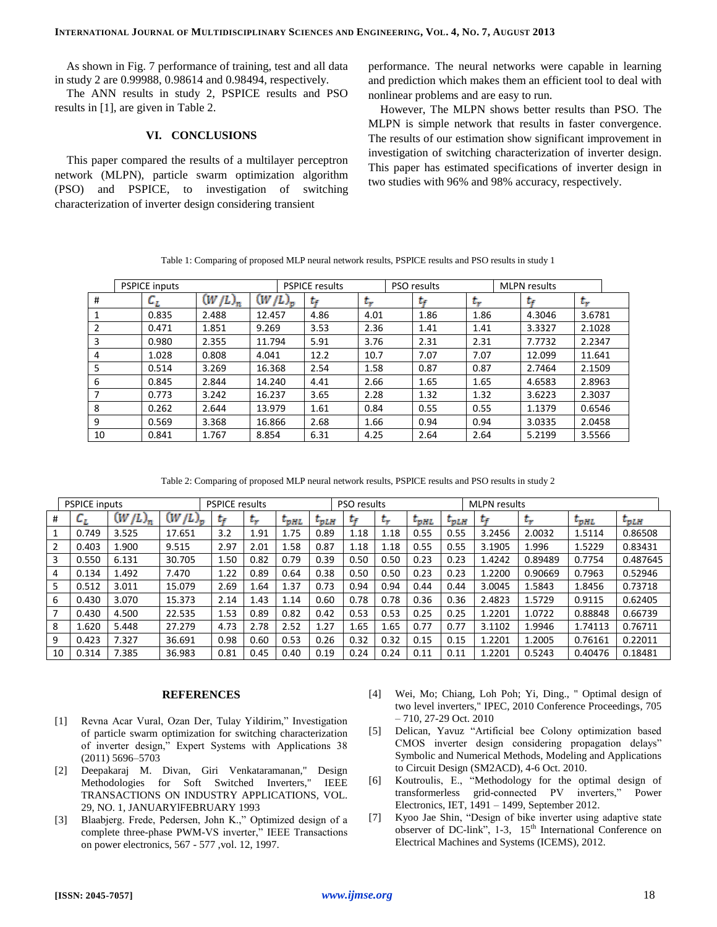As shown in Fig. 7 performance of training, test and all data in study 2 are 0.99988, 0.98614 and 0.98494, respectively.

The ANN results in study 2, PSPICE results and PSO results in [1], are given in Table 2.

# **VI. CONCLUSIONS**

This paper compared the results of a multilayer perceptron network (MLPN), particle swarm optimization algorithm (PSO) and PSPICE, to investigation of switching characterization of inverter design considering transient

performance. The neural networks were capable in learning and prediction which makes them an efficient tool to deal with nonlinear problems and are easy to run.

However, The MLPN shows better results than PSO. The MLPN is simple network that results in faster convergence. The results of our estimation show significant improvement in investigation of switching characterization of inverter design. This paper has estimated specifications of inverter design in two studies with 96% and 98% accuracy, respectively.

|                | <b>PSPICE inputs</b> |           |             | <b>PSPICE results</b> |      | PSO results |              |      |        | <b>MLPN</b> results |        |  |
|----------------|----------------------|-----------|-------------|-----------------------|------|-------------|--------------|------|--------|---------------------|--------|--|
| #              | ιz.                  | $(W/L)_n$ | $(W/L)_{p}$ |                       | t.   |             | tr           | t.   |        | t÷                  | $\sim$ |  |
| 1              | 0.835                | 2.488     | 12.457      | 4.86                  | 4.01 |             | 1.86         | 1.86 |        | 4.3046              | 3.6781 |  |
| 2              | 0.471                | 1.851     | 9.269       | 3.53                  | 2.36 |             | 1.41         | 1.41 |        | 3.3327              | 2.1028 |  |
| 3              | 0.980                | 2.355     | 11.794      | 5.91                  | 3.76 |             | 2.31         | 2.31 |        | 7.7732              | 2.2347 |  |
| 4              | 1.028                | 0.808     | 4.041       | 12.2                  | 10.7 |             | 7.07         | 7.07 |        | 12.099              | 11.641 |  |
| 5              | 0.514                | 3.269     | 16.368      | 2.54                  | 1.58 |             | 0.87         | 0.87 |        | 2.7464              | 2.1509 |  |
| 6              | 0.845                | 2.844     | 14.240      | 4.41                  | 2.66 |             | 1.65         | 1.65 |        | 4.6583              | 2.8963 |  |
| $\overline{7}$ | 0.773                | 3.242     | 16.237      | 3.65                  | 2.28 |             | 1.32         | 1.32 |        | 3.6223              | 2.3037 |  |
| 8              | 0.262                | 2.644     | 13.979      | 1.61                  | 0.84 |             | 0.55         | 0.55 |        | 1.1379              | 0.6546 |  |
| 9              | 0.569                | 3.368     | 16.866      | 2.68                  | 1.66 |             | 0.94<br>0.94 |      | 3.0335 |                     | 2.0458 |  |
| 10             | 0.841                | 1.767     | 8.854       | 6.31                  | 4.25 |             | 2.64         | 2.64 |        | 5.2199              | 3.5566 |  |

Table 1: Comparing of proposed MLP neural network results, PSPICE results and PSO results in study 1

Table 2: Comparing of proposed MLP neural network results, PSPICE results and PSO results in study 2

|    | <b>PSPICE inputs</b> |              |              |      | <b>PSPICE results</b> |               |                |      | PSO results |                        |                      |        | <b>MLPN</b> results |                        |               |  |
|----|----------------------|--------------|--------------|------|-----------------------|---------------|----------------|------|-------------|------------------------|----------------------|--------|---------------------|------------------------|---------------|--|
| #  | ı,                   | W<br>$/L)_n$ | W<br>$(L)_n$ |      | <u>to</u>             | $L_{\rm DHL}$ | $L_{\rm DLHI}$ | L.   | t.          | $\iota_{\mathit{DHL}}$ | $\iota_{\text{plH}}$ | te     | <b>Ly</b>           | $\iota_{\mathrm{pHL}}$ | $\iota_{pLH}$ |  |
|    | 0.749                | 3.525        | 17.651       | 3.2  | 1.91                  | 1.75          | 0.89           | 1.18 | 1.18        | 0.55                   | 0.55                 | 3.2456 | 2.0032              | 1.5114                 | 0.86508       |  |
| 2  | 0.403                | .900         | 9.515        | 2.97 | 2.01                  | 1.58          | 0.87           | 1.18 | 1.18        | 0.55                   | 0.55                 | 3.1905 | 1.996               | 1.5229                 | 0.83431       |  |
| 3  | 0.550                | 6.131        | 30.705       | 1.50 | 0.82                  | 0.79          | 0.39           | 0.50 | 0.50        | 0.23                   | 0.23                 | 1.4242 | 0.89489             | 0.7754                 | 0.487645      |  |
| 4  | 0.134                | .492         | 7.470        | 1.22 | 0.89                  | 0.64          | 0.38           | 0.50 | 0.50        | 0.23                   | 0.23                 | 1.2200 | 0.90669             | 0.7963                 | 0.52946       |  |
| 5. | 0.512                | 3.011        | 15.079       | 2.69 | 1.64                  | 1.37          | 0.73           | 0.94 | 0.94        | 0.44                   | 0.44                 | 3.0045 | 1.5843              | 1.8456                 | 0.73718       |  |
| 6  | 0.430                | 3.070        | 15.373       | 2.14 | 1.43                  | 1.14          | 0.60           | 0.78 | 0.78        | 0.36                   | 0.36                 | 2.4823 | 1.5729              | 0.9115                 | 0.62405       |  |
| 7  | 0.430                | 4.500        | 22.535       | 1.53 | 0.89                  | 0.82          | 0.42           | 0.53 | 0.53        | 0.25                   | 0.25                 | 1.2201 | 1.0722              | 0.88848                | 0.66739       |  |
| 8  | 1.620                | 5.448        | 27.279       | 4.73 | 2.78                  | 2.52          | 1.27           | 1.65 | 1.65        | 0.77                   | 0.77                 | 3.1102 | 1.9946              | 1.74113                | 0.76711       |  |
| 9  | 0.423                | 7.327        | 36.691       | 0.98 | 0.60                  | 0.53          | 0.26           | 0.32 | 0.32        | 0.15                   | 0.15                 | 1.2201 | 1.2005              | 0.76161                | 0.22011       |  |
| 10 | 0.314                | .385         | 36.983       | 0.81 | 0.45                  | 0.40          | 0.19           | 0.24 | 0.24        | 0.11                   | 0.11                 | 1.2201 | 0.5243              | 0.40476                | 0.18481       |  |

## **REFERENCES**

- [1] Revna Acar Vural, Ozan Der, Tulay Yildirim," Investigation of particle swarm optimization for switching characterization of inverter design," Expert Systems with Applications 38 (2011) 5696–5703
- [2] Deepakaraj M. Divan, Giri Venkataramanan," Design Methodologies for Soft Switched Inverters," IEEE TRANSACTIONS ON INDUSTRY APPLICATIONS, VOL. 29, NO. 1, JANUARYlFEBRUARY 1993
- [3] Blaabjerg. Frede, Pedersen, John K.," Optimized design of a complete three-phase PWM-VS inverter," IEEE Transactions on power electronics, 567 - 577 ,vol. 12, 1997.
- [4] [Wei, Mo;](http://ieeexplore.ieee.org/search/searchresult.jsp?searchWithin=p_Authors:.QT.Wei,%20Mo.QT.&searchWithin=p_Author_Ids:37999056600&newsearch=true) [Chiang, Loh Poh;](http://ieeexplore.ieee.org/search/searchresult.jsp?searchWithin=p_Authors:.QT.Chiang,%20Loh%20Poh.QT.&searchWithin=p_Author_Ids:37951107200&newsearch=true) [Yi, Ding.](http://ieeexplore.ieee.org/search/searchresult.jsp?searchWithin=p_Authors:.QT.Yi,%20Ding.QT.&searchWithin=p_Author_Ids:38011383500&newsearch=true), " Optimal design of two level inverters," [IPEC, 2010 Conference Proceedings,](http://ieeexplore.ieee.org/xpl/mostRecentIssue.jsp?punumber=5685176) 705 – 710, 27-29 Oct. 2010
- [5] [Delican, Yavuz](http://ieeexplore.ieee.org/search/searchresult.jsp?searchWithin=p_Authors:.QT.Delican,%20Yavuz.QT.&searchWithin=p_Author_Ids:37992198000&newsearch=true) "Artificial bee Colony optimization based CMOS inverter design considering propagation delays" Symbolic and Numerical Methods, Modeling and Applications to Circuit Design (SM2ACD), 4-6 Oct. 2010.
- [6] Koutroulis, E., "Methodology for the optimal design of transformerless grid-connected PV inverters," [Power](http://ieeexplore.ieee.org/xpl/RecentIssue.jsp?punumber=4475725)  [Electronics, IET,](http://ieeexplore.ieee.org/xpl/RecentIssue.jsp?punumber=4475725) 1491 – 1499, September 2012.
- [7] [Kyoo Jae Shin,](http://ieeexplore.ieee.org/search/searchresult.jsp?searchWithin=p_Authors:.QT.Kyoo%20Jae%20Shin.QT.&newsearch=true) "Design of bike inverter using adaptive state observer of DC-link", 1-3, 15<sup>th</sup> [International Conference on](http://ieeexplore.ieee.org/xpl/mostRecentIssue.jsp?punumber=6387735) Electrical Machines and Systems (ICEMS), 2012.